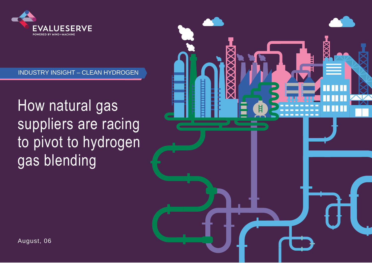

### INDUSTRY INSIGHT – CLEAN HYDROGEN

How natural gas suppliers are racing to pivot to hydrogen gas blending

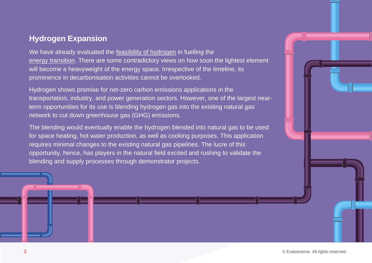### **Hydrogen Expansion**

We have already evaluated the [feasibility of hydrogen](https://www.evalueserve.com/wp-content/uploads/2021/06/Hydrogen_Can-it-fuel-the-energy-transition-6.30.pdf) in fuelling the [energy transition.](https://www.evalueserve.com/wp-content/uploads/2021/07/INDUSTRY-INSIGHTS-%E2%80%93-Low-Carbon-Products.pdf) There are some contradictory views on how soon the lightest element will become a heavyweight of the energy space. Irrespective of the timeline, its prominence in decarbonisation activities cannot be overlooked.

Hydrogen shows promise for net-zero carbon emissions applications in the transportation, industry, and power generation sectors. However, one of the largest nearterm opportunities for its use is blending hydrogen gas into the existing natural gas network to cut down greenhouse gas (GHG) emissions.

The blending would eventually enable the hydrogen blended into natural gas to be used for space heating, hot water production, as well as cooking purposes. This application requires minimal changes to the existing natural gas pipelines. The lucre of this opportunity, hence, has players in the natural field excited and rushing to validate the blending and supply processes through demonstrator projects.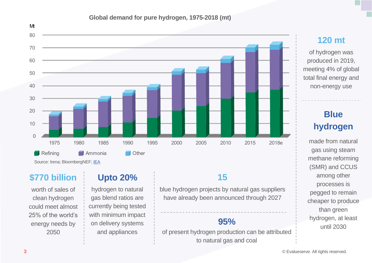### **Global demand for pure hydrogen, 1975-2018 (mt)**



# **120 mt**

of hydrogen was produced in 2019, meeting 4% of global total final energy and non-energy use

# **Blue hydrogen**

made from natural gas using steam methane reforming (SMR) and CCUS among other processes is pegged to remain cheaper to produce than green hydrogen, at least until 2030

# **\$770 billion**

worth of sales of clean hydrogen could meet almost 25% of the world's energy needs by 2050

# **Upto 20%**

hydrogen to natural gas blend ratios are currently being tested with minimum impact on delivery systems and appliances

# **15**

blue hydrogen projects by natural gas suppliers have already been announced through 2027

# **95%**

of present hydrogen production can be attributed to natural gas and coal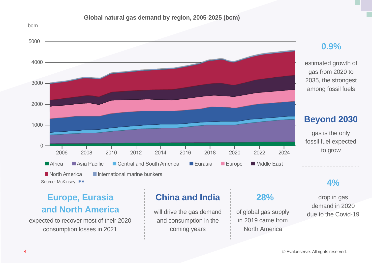



## **0.9%**

estimated growth of gas from 2020 to 2035, the strongest among fossil fuels

# **Beyond 2030**

gas is the only fossil fuel expected to grow

### **4%**

drop in gas demand in 2020 due to the Covid-19

# **Europe, Eurasia and North America** will drive the gas demand

expected to recover most of their 2020 consumption losses in 2021

## **China and India 28%**

and consumption in the coming years

of global gas supply in 2019 came from North America

bcm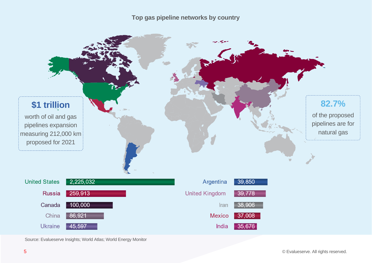**Top gas pipeline networks by country**



Source: Evalueserve Insights; World Atlas; World Energy Monitor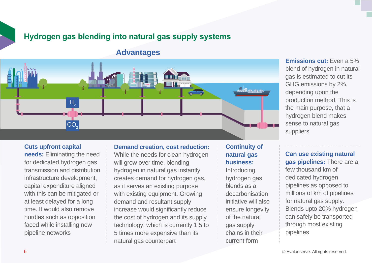## **Hydrogen gas blending into natural gas supply systems**

### **Advantages**



### **Cuts upfront capital**

**needs:** Eliminating the need for dedicated hydrogen gas transmission and distribution infrastructure development, capital expenditure aligned with this can be mitigated or at least delayed for a long time. It would also remove hurdles such as opposition faced while installing new pipeline networks

### **Demand creation, cost reduction:**

While the needs for clean hydrogen will grow over time, blending hydrogen in natural gas instantly creates demand for hydrogen gas, as it serves an existing purpose with existing equipment. Growing demand and resultant supply increase would significantly reduce the cost of hydrogen and its supply technology, which is currently 1.5 to 5 times more expensive than its natural gas counterpart

### **Continuity of natural gas business:**

Introducing hydrogen gas blends as a decarbonisation initiative will also ensure longevity of the natural gas supply chains in their current form

**Emissions cut:** Even a 5% blend of hydrogen in natural gas is estimated to cut its GHG emissions by 2%, depending upon the production method. This is the main purpose, that a hydrogen blend makes sense to natural gas suppliers

**Can use existing natural gas pipelines:** There are a few thousand km of dedicated hydrogen pipelines as opposed to millions of km of pipelines for natural gas supply. Blends upto 20% hydrogen can safely be transported through most existing pipelines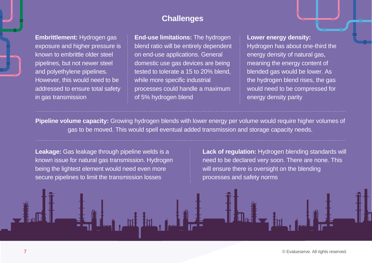### **Challenges**

**Embrittlement:** Hydrogen gas exposure and higher pressure is known to embrittle older steel pipelines, but not newer steel and polyethylene pipelines. However, this would need to be addressed to ensure total safety in gas transmission

**End-use limitations:** The hydrogen blend ratio will be entirely dependent on end-use applications. General domestic use gas devices are being tested to tolerate a 15 to 20% blend, while more specific industrial processes could handle a maximum of 5% hydrogen blend

**Lower energy density:** Hydrogen has about one-third the energy density of natural gas, meaning the energy content of blended gas would be lower. As the hydrogen blend rises, the gas would need to be compressed for energy density parity

**Pipeline volume capacity:** Growing hydrogen blends with lower energy per volume would require higher volumes of gas to be moved. This would spell eventual added transmission and storage capacity needs.

**Leakage:** Gas leakage through pipeline welds is a known issue for natural gas transmission. Hydrogen being the lightest element would need even more secure pipelines to limit the transmission losses

**Lack of regulation:** Hydrogen blending standards will need to be declared very soon. There are none. This will ensure there is oversight on the blending processes and safety norms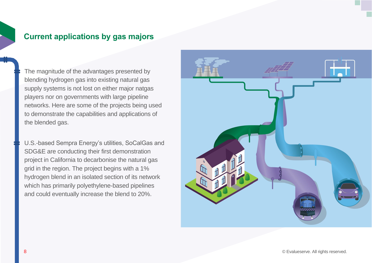### **Current applications by gas majors**

The magnitude of the advantages presented by blending hydrogen gas into existing natural gas supply systems is not lost on either major natgas players nor on governments with large pipeline networks. Here are some of the projects being used to demonstrate the capabilities and applications of the blended gas.

U.S.-based Sempra Energy's utilities, SoCalGas and SDG&E are conducting their first demonstration project in California to decarbonise the natural gas grid in the region. The project begins with a 1% hydrogen blend in an isolated section of its network which has primarily polyethylene-based pipelines and could eventually increase the blend to 20%.

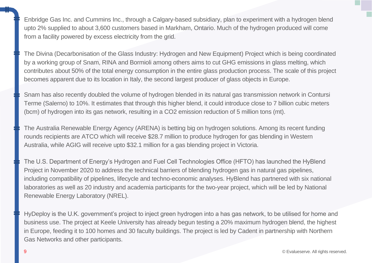Enbridge Gas Inc. and Cummins Inc., through a Calgary-based subsidiary, plan to experiment with a hydrogen blend upto 2% supplied to about 3,600 customers based in Markham, Ontario. Much of the hydrogen produced will come from a facility powered by excess electricity from the grid.

The Divina (Decarbonisation of the Glass Industry: Hydrogen and New Equipment) Project which is being coordinated by a working group of Snam, RINA and Bormioli among others aims to cut GHG emissions in glass melting, which contributes about 50% of the total energy consumption in the entire glass production process. The scale of this project becomes apparent due to its location in Italy, the second largest producer of glass objects in Europe.

Snam has also recently doubled the volume of hydrogen blended in its natural gas transmission network in Contursi Terme (Salerno) to 10%. It estimates that through this higher blend, it could introduce close to 7 billion cubic meters (bcm) of hydrogen into its gas network, resulting in a CO2 emission reduction of 5 million tons (mt).

The Australia Renewable Energy Agency (ARENA) is betting big on hydrogen solutions. Among its recent funding rounds recipients are ATCO which will receive \$28.7 million to produce hydrogen for gas blending in Western Australia, while AGIG will receive upto \$32.1 million for a gas blending project in Victoria.

The U.S. Department of Energy's Hydrogen and Fuel Cell Technologies Office (HFTO) has launched the HyBlend Project in November 2020 to address the technical barriers of blending hydrogen gas in natural gas pipelines, including compatibility of pipelines, lifecycle and techno-economic analyses. HyBlend has partnered with six national laboratories as well as 20 industry and academia participants for the two-year project, which will be led by National Renewable Energy Laboratory (NREL).

HyDeploy is the U.K. government's project to inject green hydrogen into a has gas network, to be utilised for home and business use. The project at Keele University has already begun testing a 20% maximum hydrogen blend, the highest in Europe, feeding it to 100 homes and 30 faculty buildings. The project is led by Cadent in partnership with Northern Gas Networks and other participants.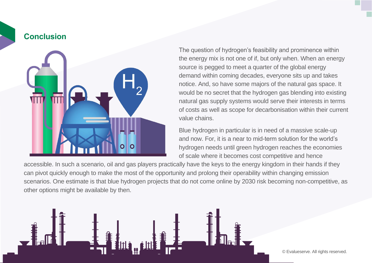### **Conclusion**



The question of hydrogen's feasibility and prominence within the energy mix is not one of if, but only when. When an energy source is pegged to meet a quarter of the global energy demand within coming decades, everyone sits up and takes notice. And, so have some majors of the natural gas space. It would be no secret that the hydrogen gas blending into existing natural gas supply systems would serve their interests in terms of costs as well as scope for decarbonisation within their current value chains.

Blue hydrogen in particular is in need of a massive scale-up and now. For, it is a near to mid-term solution for the world's hydrogen needs until green hydrogen reaches the economies of scale where it becomes cost competitive and hence

accessible. In such a scenario, oil and gas players practically have the keys to the energy kingdom in their hands if they can pivot quickly enough to make the most of the opportunity and prolong their operability within changing emission scenarios. One estimate is that blue hydrogen projects that do not come online by 2030 risk becoming non-competitive, as other options might be available by then.

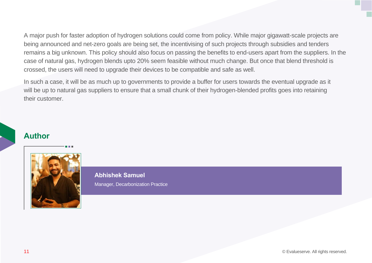A major push for faster adoption of hydrogen solutions could come from policy. While major gigawatt-scale projects are being announced and net-zero goals are being set, the incentivising of such projects through subsidies and tenders remains a big unknown. This policy should also focus on passing the benefits to end-users apart from the suppliers. In the case of natural gas, hydrogen blends upto 20% seem feasible without much change. But once that blend threshold is crossed, the users will need to upgrade their devices to be compatible and safe as well.

In such a case, it will be as much up to governments to provide a buffer for users towards the eventual upgrade as it will be up to natural gas suppliers to ensure that a small chunk of their hydrogen-blended profits goes into retaining their customer.

### **Author**



**Abhishek Samuel**

Manager, Decarbonization Practice